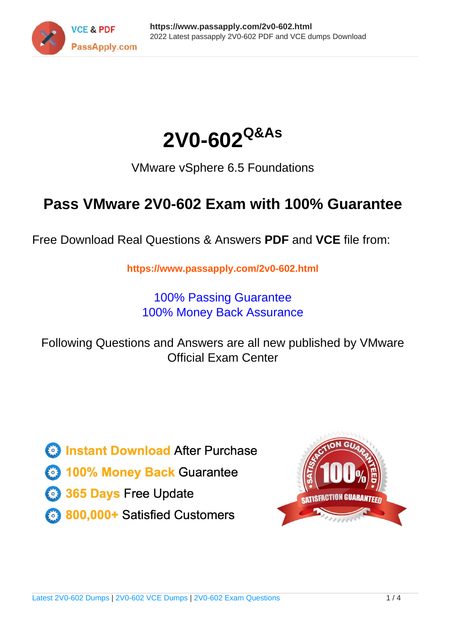



VMware vSphere 6.5 Foundations

# **Pass VMware 2V0-602 Exam with 100% Guarantee**

Free Download Real Questions & Answers **PDF** and **VCE** file from:

**https://www.passapply.com/2v0-602.html**

100% Passing Guarantee 100% Money Back Assurance

Following Questions and Answers are all new published by VMware Official Exam Center

**C** Instant Download After Purchase

**83 100% Money Back Guarantee** 

- 365 Days Free Update
- 800,000+ Satisfied Customers

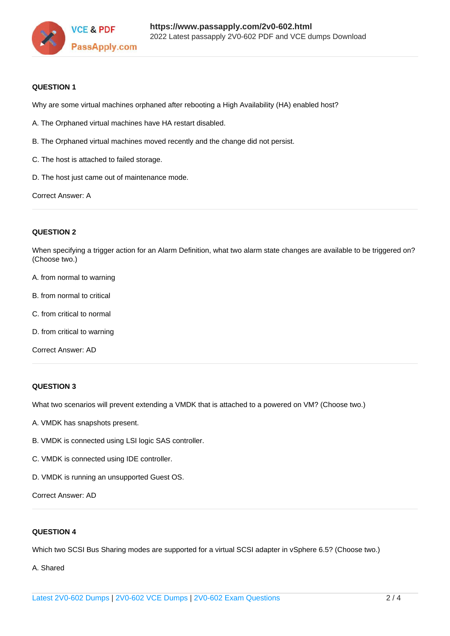

### **QUESTION 1**

Why are some virtual machines orphaned after rebooting a High Availability (HA) enabled host?

- A. The Orphaned virtual machines have HA restart disabled.
- B. The Orphaned virtual machines moved recently and the change did not persist.
- C. The host is attached to failed storage.
- D. The host just came out of maintenance mode.

Correct Answer: A

### **QUESTION 2**

When specifying a trigger action for an Alarm Definition, what two alarm state changes are available to be triggered on? (Choose two.)

- A. from normal to warning
- B. from normal to critical
- C. from critical to normal
- D. from critical to warning

Correct Answer: AD

### **QUESTION 3**

What two scenarios will prevent extending a VMDK that is attached to a powered on VM? (Choose two.)

- A. VMDK has snapshots present.
- B. VMDK is connected using LSI logic SAS controller.
- C. VMDK is connected using IDE controller.
- D. VMDK is running an unsupported Guest OS.

Correct Answer: AD

### **QUESTION 4**

Which two SCSI Bus Sharing modes are supported for a virtual SCSI adapter in vSphere 6.5? (Choose two.)

A. Shared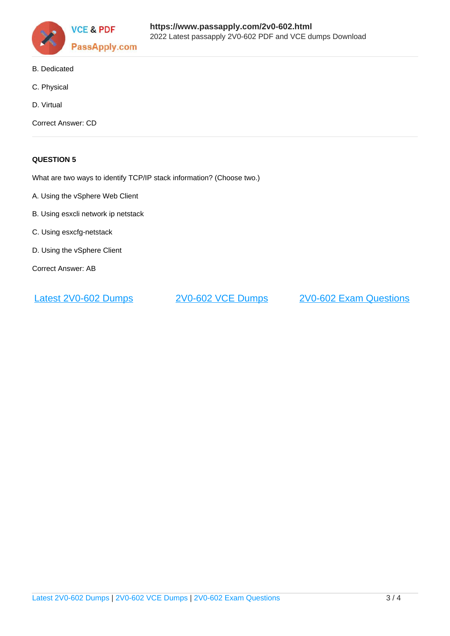

- B. Dedicated
- C. Physical
- D. Virtual

Correct Answer: CD

### **QUESTION 5**

What are two ways to identify TCP/IP stack information? (Choose two.)

- A. Using the vSphere Web Client
- B. Using esxcli network ip netstack
- C. Using esxcfg-netstack
- D. Using the vSphere Client
- Correct Answer: AB

[Latest 2V0-602 Dumps](https://www.passapply.com/2v0-602.html) [2V0-602 VCE Dumps](https://www.passapply.com/2v0-602.html) [2V0-602 Exam Questions](https://www.passapply.com/2v0-602.html)